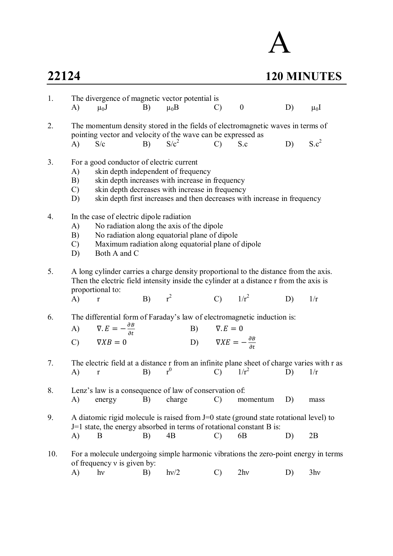## **22124 120 MINUTES**

| 1.  |                                                                                                                                                                                                                                                 | The divergence of magnetic vector potential is                                                                                                                                                                                                                    |            |                                                                  |                                                  |                                                                                                                                                                                   |    |                 |  |  |
|-----|-------------------------------------------------------------------------------------------------------------------------------------------------------------------------------------------------------------------------------------------------|-------------------------------------------------------------------------------------------------------------------------------------------------------------------------------------------------------------------------------------------------------------------|------------|------------------------------------------------------------------|--------------------------------------------------|-----------------------------------------------------------------------------------------------------------------------------------------------------------------------------------|----|-----------------|--|--|
|     | A)                                                                                                                                                                                                                                              | $\mu_0 J$                                                                                                                                                                                                                                                         | B)         | $\mu_0 B$                                                        | $\mathcal{C}$                                    | $\boldsymbol{0}$                                                                                                                                                                  | D) | $\mu_0$ I       |  |  |
| 2.  |                                                                                                                                                                                                                                                 |                                                                                                                                                                                                                                                                   | B) $S/c^2$ | pointing vector and velocity of the wave can be expressed as     | $\mathcal{C}$                                    | The momentum density stored in the fields of electromagnetic waves in terms of<br>S.c                                                                                             | D) | $S.c^2$         |  |  |
|     | A)                                                                                                                                                                                                                                              | S/c                                                                                                                                                                                                                                                               |            |                                                                  |                                                  |                                                                                                                                                                                   |    |                 |  |  |
| 3.  | A)<br>B)<br>$\mathcal{C}$<br>D)                                                                                                                                                                                                                 | For a good conductor of electric current<br>skin depth independent of frequency<br>skin depth increases with increase in frequency<br>skin depth decreases with increase in frequency<br>skin depth first increases and then decreases with increase in frequency |            |                                                                  |                                                  |                                                                                                                                                                                   |    |                 |  |  |
| 4.  | In the case of electric dipole radiation<br>No radiation along the axis of the dipole<br>A)<br>No radiation along equatorial plane of dipole<br>B)<br>Maximum radiation along equatorial plane of dipole<br>$\mathcal{C}$<br>Both A and C<br>D) |                                                                                                                                                                                                                                                                   |            |                                                                  |                                                  |                                                                                                                                                                                   |    |                 |  |  |
| 5.  | A)                                                                                                                                                                                                                                              | proportional to:<br>$\mathbf r$                                                                                                                                                                                                                                   | $B)$ $r^2$ |                                                                  | C) $1/r^2$                                       | A long cylinder carries a charge density proportional to the distance from the axis.<br>Then the electric field intensity inside the cylinder at a distance r from the axis is    | D) | 1/r             |  |  |
| 6.  |                                                                                                                                                                                                                                                 | A) $\nabla \cdot E = -\frac{\partial B}{\partial t}$                                                                                                                                                                                                              |            |                                                                  | B) $\nabla.E = 0$                                | The differential form of Faraday's law of electromagnetic induction is:                                                                                                           |    |                 |  |  |
|     |                                                                                                                                                                                                                                                 | $C)$ $\nabla XB = 0$                                                                                                                                                                                                                                              |            |                                                                  | D) $\nabla X E = -\frac{\partial B}{\partial t}$ |                                                                                                                                                                                   |    |                 |  |  |
| 7.  | A)                                                                                                                                                                                                                                              | $\Gamma$                                                                                                                                                                                                                                                          | B)         | r <sup>0</sup>                                                   | $\mathcal{C}$                                    | The electric field at a distance r from an infinite plane sheet of charge varies with r as<br>$1/r^2$                                                                             | D) | 1/r             |  |  |
| 8.  | A)                                                                                                                                                                                                                                              | energy                                                                                                                                                                                                                                                            | B)         | Lenz's law is a consequence of law of conservation of:<br>charge | $\mathcal{C}$                                    | momentum                                                                                                                                                                          | D) | mass            |  |  |
| 9.  | A)                                                                                                                                                                                                                                              | B                                                                                                                                                                                                                                                                 | B)         | 4B                                                               | $\mathcal{C}$                                    | A diatomic rigid molecule is raised from J=0 state (ground state rotational level) to<br>$J=1$ state, the energy absorbed in terms of rotational constant B is:<br>6 <sub>B</sub> | D) | 2B              |  |  |
|     |                                                                                                                                                                                                                                                 |                                                                                                                                                                                                                                                                   |            |                                                                  |                                                  |                                                                                                                                                                                   |    |                 |  |  |
| 10. |                                                                                                                                                                                                                                                 | of frequency $v$ is given by:                                                                                                                                                                                                                                     |            |                                                                  |                                                  | For a molecule undergoing simple harmonic vibrations the zero-point energy in terms                                                                                               |    |                 |  |  |
|     | A)                                                                                                                                                                                                                                              | $h\nu$                                                                                                                                                                                                                                                            | B)         | hv/2                                                             | $\mathcal{C}$                                    | 2hv                                                                                                                                                                               | D) | 3 <sub>hv</sub> |  |  |

A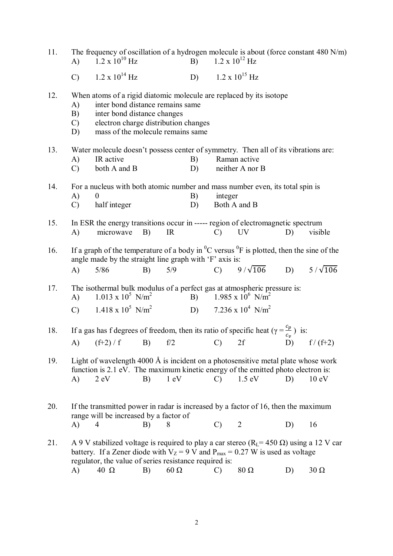| 11. | A)                                                                                                                                                                          | The frequency of oscillation of a hydrogen molecule is about (force constant 480 N/m)<br>$1.2 \times 10^{10}$ Hz                                                                                                                                     |    |                | B)       |               | $1.2 \times 10^{12}$ Hz                 |    |                 |  |
|-----|-----------------------------------------------------------------------------------------------------------------------------------------------------------------------------|------------------------------------------------------------------------------------------------------------------------------------------------------------------------------------------------------------------------------------------------------|----|----------------|----------|---------------|-----------------------------------------|----|-----------------|--|
|     | $\mathcal{C}$                                                                                                                                                               | $1.2 \times 10^{14}$ Hz                                                                                                                                                                                                                              |    |                | D)       |               | $1.2 \times 10^{15}$ Hz                 |    |                 |  |
| 12. | A)<br>B)<br>$\mathcal{C}$<br>D)                                                                                                                                             | When atoms of a rigid diatomic molecule are replaced by its isotope<br>inter bond distance remains same<br>inter bond distance changes<br>electron charge distribution changes<br>mass of the molecule remains same                                  |    |                |          |               |                                         |    |                 |  |
| 13. | A)<br>$\mathcal{C}$                                                                                                                                                         | Water molecule doesn't possess center of symmetry. Then all of its vibrations are:<br>IR active<br>both A and B                                                                                                                                      |    |                | B)<br>D) |               | Raman active<br>neither A nor B         |    |                 |  |
| 14. | A)<br>$\mathcal{C}$                                                                                                                                                         | For a nucleus with both atomic number and mass number even, its total spin is<br>$\Omega$<br>half integer                                                                                                                                            |    |                | B)<br>D) | integer       | Both A and B                            |    |                 |  |
| 15. | A)                                                                                                                                                                          | In ESR the energy transitions occur in ----- region of electromagnetic spectrum<br>microwave                                                                                                                                                         | B) | IR             |          | $\mathcal{C}$ | <b>UV</b>                               | D) | visible         |  |
| 16. |                                                                                                                                                                             | If a graph of the temperature of a body in ${}^{0}C$ versus ${}^{0}F$ is plotted, then the sine of the<br>angle made by the straight line graph with 'F' axis is:                                                                                    |    |                |          |               |                                         |    |                 |  |
|     | $\bf{A}$                                                                                                                                                                    | $5/86$                                                                                                                                                                                                                                               | B) | 5/9            |          |               | C) $9/\sqrt{106}$ D)                    |    | $5/\sqrt{106}$  |  |
| 17. | The isothermal bulk modulus of a perfect gas at atmospheric pressure is:<br>$1.013 \times 10^5$ N/m <sup>2</sup><br>B) $1.985 \times 10^6$ N/m <sup>2</sup><br>$\mathbf{A}$ |                                                                                                                                                                                                                                                      |    |                |          |               |                                         |    |                 |  |
|     | $\mathcal{C}$ )                                                                                                                                                             | $1.418 \times 10^5$ N/m <sup>2</sup>                                                                                                                                                                                                                 |    |                |          |               | D) $7.236 \times 10^4$ N/m <sup>2</sup> |    |                 |  |
| 18. |                                                                                                                                                                             | If a gas has f degrees of freedom, then its ratio of specific heat ( $\gamma = \frac{c_p}{c}$ ) is:                                                                                                                                                  |    |                |          |               |                                         |    |                 |  |
|     | A)                                                                                                                                                                          | $(f+2) / f$                                                                                                                                                                                                                                          | B) | f/2            |          | $\mathcal{C}$ | 2f                                      | D) | $f/(f+2)$       |  |
| 19. | A)                                                                                                                                                                          | Light of wavelength 4000 Å is incident on a photosensitive metal plate whose work<br>function is 2.1 eV. The maximum kinetic energy of the emitted photo electron is:<br>$2 \text{ eV}$                                                              | B) | $1 \text{ eV}$ |          | $\mathcal{C}$ | $1.5 \text{ eV}$                        | D) | $10 \text{ eV}$ |  |
| 20. |                                                                                                                                                                             | If the transmitted power in radar is increased by a factor of 16, then the maximum<br>range will be increased by a factor of                                                                                                                         |    |                |          |               |                                         |    |                 |  |
|     | A)                                                                                                                                                                          | 4                                                                                                                                                                                                                                                    | B) | 8              |          | $\mathcal{C}$ | $\overline{2}$                          | D) | 16              |  |
| 21. |                                                                                                                                                                             | A 9 V stabilized voltage is required to play a car stereo ( $RL$ = 450 $\Omega$ ) using a 12 V car<br>battery. If a Zener diode with $V_Z = 9$ V and $P_{max} = 0.27$ W is used as voltage<br>regulator, the value of series resistance required is: |    |                |          |               |                                         |    |                 |  |
|     | A)                                                                                                                                                                          | $40 \Omega$                                                                                                                                                                                                                                          | B) | $60\ \Omega$   |          | $\mathcal{C}$ | $80\ \Omega$                            | D) | $30 \Omega$     |  |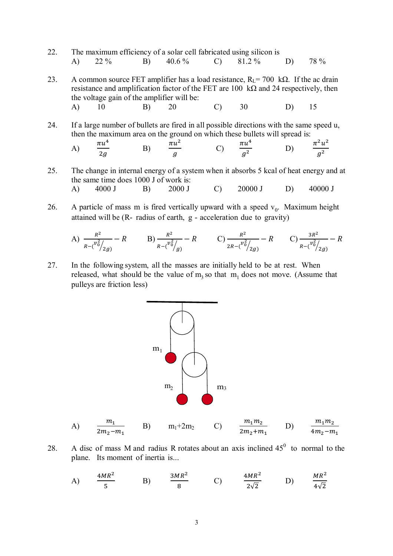- 22. The maximum efficiency of a solar cell fabricated using silicon is A) 22 % B) 40.6 % C) 81.2 % D) 78 %
- 23. A common source FET amplifier has a load resistance,  $R<sub>L</sub> = 700$  k $\Omega$ . If the ac drain resistance and amplification factor of the FET are 100 kΩ and 24 respectively, then the voltage gain of the amplifier will be: A) 10 B) 20 C) 30 D) 15
- 24. If a large number of bullets are fired in all possible directions with the same speed u, then the maximum area on the ground on which these bullets will spread is:

A) 
$$
\frac{\pi u^4}{2g}
$$
 \tB)  $\frac{\pi u^2}{g}$  \tC)  $\frac{\pi u^4}{g^2}$  \tD)  $\frac{\pi^2 u^2}{g^2}$ 

25. The change in internal energy of a system when it absorbs 5 kcal of heat energy and at the same time does 1000 J of work is: A) 4000 J B) 2000 J C) 20000 J D) 40000 J

26. A particle of mass m is fired vertically upward with a speed  $v_0$ . Maximum height attained will be (R- radius of earth, g - acceleration due to gravity)

A) 
$$
\frac{R^2}{R-(\frac{v_0^2}{2g})}-R
$$
 \tB)  $\frac{R^2}{R-(\frac{v_0^2}{g})}-R$  \tC)  $\frac{R^2}{2R-(\frac{v_0^2}{2g})}-R$  \tC)  $\frac{3R^2}{R-(\frac{v_0^2}{2g})}-R$ 

27. In the following system, all the masses are initially held to be at rest. When released, what should be the value of  $m_3$  so that  $m_1$  does not move. (Assume that pulleys are friction less)



28. A disc of mass M and radius R rotates about an axis inclined  $45^{\circ}$  to normal to the plane. Its moment of inertia is...

A) 
$$
\frac{4MR^2}{5}
$$
 B)  $\frac{3MR^2}{8}$  C)  $\frac{4MR^2}{2\sqrt{2}}$  D)  $\frac{MR^2}{4\sqrt{2}}$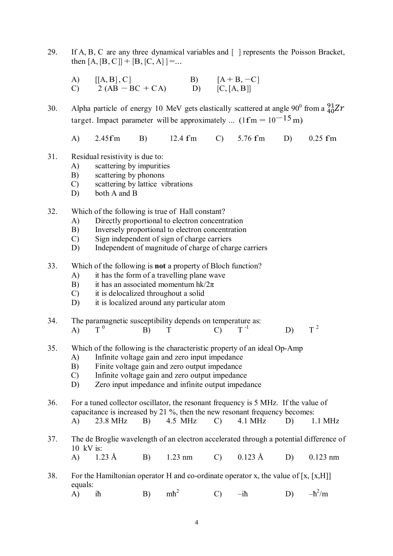29. If A, B, C are any three dynamical variables and [ ] represents the Poisson Bracket, then  $[A, [B, C]] + [B, [C, A]] = ...$ 

A)  $[[A, B], C]$  B)  $[A + B, -C]$ <br>C) 2  $(AB - BC + CA)$  D)  $[C, [A, B]]$  $C)$  2 (AB – BC + CA)

30. Alpha particle of energy 10 MeV gets elastically scattered at angle 90<sup>0</sup> from a  $^{91}_{40}Zr$ target. Impact parameter will be approximately ...  $(1 \text{fm} = 10^{-15} \text{m})$ 

A) 2.45fm B) 12.4 fm C) 5.76 fm D) 0.25 fm

- 31. Residual resistivity is due to:
	- A) scattering by impurities
	- B) scattering by phonons
	- C) scattering by lattice vibrations
	- D) both A and B

32. Which of the following is true of Hall constant?

- A) Directly proportional to electron concentration
- B) Inversely proportional to electron concentration
- C) Sign independent of sign of charge carriers
- D) Independent of magnitude of charge of charge carriers
- 33. Which of the following is **not** a property of Bloch function?
	- A) it has the form of a travelling plane wave
	- B) it has an associated momentum hk/ $2\pi$
	- C) it is delocalized throughout a solid
	- D) it is localized around any particular atom
- 34. The paramagnetic susceptibility depends on temperature as:<br>A)  $T^0$  B)  $T^1$  C)  $T^{-1}$  $A)$   $T^0$ B) T C)  $T^{-1}$  D)  $T^{-2}$
- 

 $T^2$ 

- 35. Which of the following is the characteristic property of an ideal Op-Amp
	- A) Infinite voltage gain and zero input impedance
	- B) Finite voltage gain and zero output impedance
	- C) Infinite voltage gain and zero output impedance
	- D) Zero input impedance and infinite output impedance
- 36. For a tuned collector oscillator, the resonant frequency is 5 MHz. If the value of capacitance is increased by 21 %, then the new resonant frequency becomes: A) 23.8 MHz B) 4.5 MHz C) 4.1 MHz D) 1.1 MHz
- 37. The de Broglie wavelength of an electron accelerated through a potential difference of 10 kV is: A) 1.23 Å B) 1.23 nm C) 0.123 Å D) 0.123 nm
- 38. For the Hamiltonian operator H and co-ordinate operator x, the value of [x, [x,H]] equals:

A) iħ B) mħ 2 C)  $-i\hbar$  D)  $-\hbar$  $^{2}/\text{m}$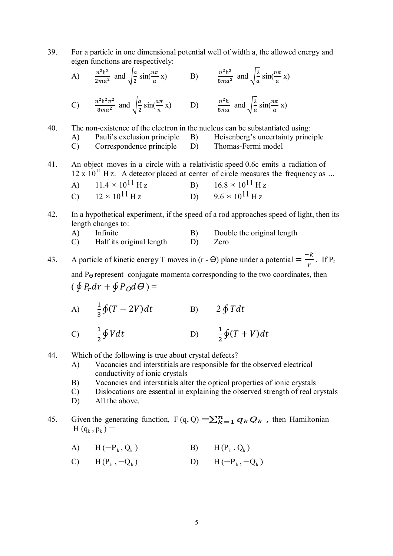39. For a particle in one dimensional potential well of width a, the allowed energy and eigen functions are respectively:

A) 
$$
\frac{n^2h^2}{2ma^2}
$$
 and  $\sqrt{\frac{a}{2}}\sin(\frac{n\pi}{a}x)$  B)  $\frac{n^2h^2}{8ma^2}$  and  $\sqrt{\frac{a}{a}}\sin(\frac{n\pi}{a}x)$   
\nC)  $\frac{n^2h^2\pi^2}{8ma^2}$  and  $\sqrt{\frac{a}{2}}\sin(\frac{a\pi}{n}x)$  D)  $\frac{n^2h}{8ma}$  and  $\sqrt{\frac{2}{a}}\sin(\frac{n\pi}{a}x)$ 

40. The non-existence of the electron in the nucleus can be substantiated using:

A) Pauli's exclusion principle B) Heisenberg's uncertainty principle

- C) Correspondence principle D) Thomas-Fermi model
- 41. An object moves in a circle with a relativistic speed 0.6c emits a radiation of  $12 \times 10^{11}$  H z. A detector placed at center of circle measures the frequency as ...
	- A)  $11.4 \times 10^{11}$  H z B)  $16.8 \times 10^{11}$  H z<br>C)  $12 \times 10^{11}$  H z B)  $9.6 \times 10^{11}$  H z C)  $12 \times 10^{11}$  H z D)  $9.6 \times 10^{11}$  H z
- 42. In a hypothetical experiment, if the speed of a rod approaches speed of light, then its length changes to:
	- A) Infinite B) Double the original length
	- C) Half its original length D) Zero

43. A particle of kinetic energy T moves in (r -  $\Theta$ ) plane under a potential  $=\frac{-k}{n}$  $\frac{n}{r}$ . If P<sub>r</sub> and  $P_{\Theta}$  represent conjugate momenta corresponding to the two coordinates, then  $(\oint P_r dr + \oint P_{\Theta} d\Theta) =$ 

- A)  $\frac{1}{2}$  $\frac{1}{3}\oint (T-2V)dt$  B)  $2 \oint Tdt$ 
	- $C) \frac{1}{2}$  $\overline{\mathbf{c}}$  $\oint V dt$  D)  $\frac{1}{2}$  $\frac{1}{2}\oint(T+V)dt$
- 44. Which of the following is true about crystal defects?
	- A) Vacancies and interstitials are responsible for the observed electrical conductivity of ionic crystals
	- B) Vacancies and interstitials alter the optical properties of ionic crystals
	- C) Dislocations are essential in explaining the observed strength of real crystals
	- D) All the above.
- 45. Given the generating function,  $F(q, Q) = \sum_{k=1}^{n} q_k Q_k$ , then Hamiltonian  $H(q_k, p_k) =$ 
	- A)  $H(-P_k, Q_k)$ (b) B)  $H(P_k, Q_k)$
	- C)  $H(P_k, -Q_k)$ ) D) H (−P<sub>k</sub>, −Q<sub>k</sub>)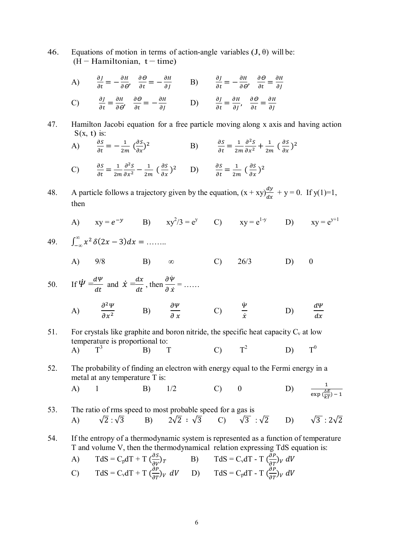46. Equations of motion in terms of action-angle variables  $(J, \theta)$  will be:  $(H - Hamiltonian, t - time)$ 

A) 
$$
\frac{\partial J}{\partial t} = -\frac{\partial H}{\partial \theta}, \quad \frac{\partial \Theta}{\partial t} = -\frac{\partial H}{\partial J}
$$
 B)  $\frac{\partial J}{\partial t} = -\frac{\partial H}{\partial \theta}, \quad \frac{\partial \Theta}{\partial t} = \frac{\partial H}{\partial J}$   
\nC)  $\frac{\partial J}{\partial t} = \frac{\partial H}{\partial \theta'}, \quad \frac{\partial \Theta}{\partial t} = -\frac{\partial H}{\partial J}$  D)  $\frac{\partial J}{\partial t} = \frac{\partial H}{\partial J}, \quad \frac{\partial \Theta}{\partial t} = \frac{\partial H}{\partial J}$ 

47. Hamilton Jacobi equation for a free particle moving along x axis and having action  $S(x, t)$  is:

A) 
$$
\frac{\partial s}{\partial t} = -\frac{1}{2m} \left( \frac{\partial s}{\partial x} \right)^2
$$
 B)  $\frac{\partial s}{\partial t} = \frac{1}{2m} \frac{\partial^2 s}{\partial x^2} + \frac{1}{2m} \left( \frac{\partial s}{\partial x} \right)^2$ 

C)  $\frac{\partial S}{\partial t} = \frac{1}{2n}$  $2m$  $\partial^2 S$  $\frac{\partial^2 S}{\partial x^2} - \frac{1}{2n}$  $rac{1}{2m} \left( \frac{\partial S}{\partial x} \right)^2$  D)  $\frac{\partial S}{\partial t} = \frac{1}{2m}$  $rac{1}{2m}(\frac{\partial S}{\partial x})^2$ 

- 48. A particle follows a trajectory given by the equation,  $(x + xy)\frac{dy}{dx} + y = 0$ . If  $y(1)=1$ , then
- A)  $xy = e^{-y}$  B)  $xy^2/3 = e^y$  C)  $xy = e^{1-y}$  D)  $xy = e^{y+1}$

49. 
$$
\int_{-\infty}^{\infty} x^2 \, \delta(2x-3) dx = \dots
$$

A) 9/8 B) ∞ C) 26/3 D) 0

50. If 
$$
\dot{\Psi} = \frac{d\Psi}{dt}
$$
 and  $\dot{x} = \frac{dx}{dt}$ , then  $\frac{\partial \dot{\Psi}}{\partial \dot{x}} = \dots$ 

A) 
$$
\frac{\partial^2 \Psi}{\partial x^2}
$$
 B)  $\frac{\partial \Psi}{\partial x}$  C)  $\frac{\Psi}{\dot{x}}$  D)  $\frac{d\Psi}{dx}$ 

- 51. For crystals like graphite and boron nitride, the specific heat capacity  $C_v$  at low temperature is proportional to:<br>A)  $T^3$  B) 1  $A)$  $\text{B)}$  T C)  $T^2$  $D)$  $T^0$
- 52. The probability of finding an electron with energy equal to the Fermi energy in a metal at any temperature T is: A) 1 B)  $1/2$  C) 0 D)  $\frac{1}{\exp(\frac{\Delta E}{kT}) - 1}$

53. The ratio of rms speed to most probable speed for a gas is  
\n(A) 
$$
\sqrt{2}:\sqrt{3}
$$
 B)  $2\sqrt{2}:\sqrt{3}$  C)  $\sqrt{3}:\sqrt{2}$  D)  $\sqrt{3}:2\sqrt{2}$ 

54. If the entropy of a thermodynamic system is represented as a function of temperature T and volume V, then the thermodynamical relation expressing TdS equation is:

A) 
$$
TdS = C_p dT + T \left(\frac{\partial S}{\partial V}\right)_T
$$
 B)  $TdS = C_v dT - T \left(\frac{\partial P}{\partial T}\right)_V dV$   
\nC)  $TdS = C_v dT + T \left(\frac{\partial P}{\partial T}\right)_V dV$  D)  $TdS = C_p dT - T \left(\frac{\partial P}{\partial T}\right)_V dV$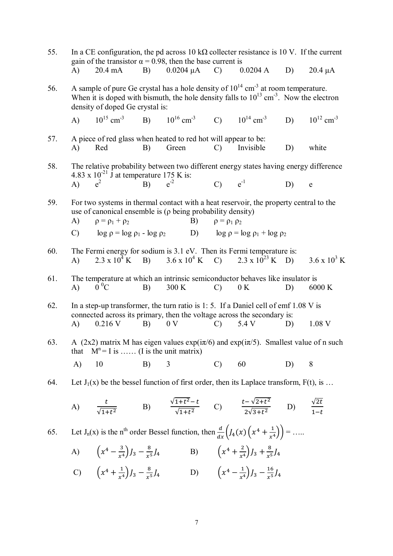| 55. | In a CE configuration, the pd across 10 k $\Omega$ collecter resistance is 10 V. If the current<br>gain of the transistor $\alpha = 0.98$ , then the base current is                                                                           |                                                                                                                                                                                                                            |    |          |  |               |                                                              |                                                                                                                                                                                                                                                                                                                                                                                                                                                                                                                                                                                                                                                                                            |                            |  |
|-----|------------------------------------------------------------------------------------------------------------------------------------------------------------------------------------------------------------------------------------------------|----------------------------------------------------------------------------------------------------------------------------------------------------------------------------------------------------------------------------|----|----------|--|---------------|--------------------------------------------------------------|--------------------------------------------------------------------------------------------------------------------------------------------------------------------------------------------------------------------------------------------------------------------------------------------------------------------------------------------------------------------------------------------------------------------------------------------------------------------------------------------------------------------------------------------------------------------------------------------------------------------------------------------------------------------------------------------|----------------------------|--|
|     | A)                                                                                                                                                                                                                                             | $20.4 \text{ mA}$                                                                                                                                                                                                          | B) |          |  |               | $0.0204 \mu A$ C) $0.0204 A$                                 | D)                                                                                                                                                                                                                                                                                                                                                                                                                                                                                                                                                                                                                                                                                         | $20.4 \mu A$               |  |
| 56. | A sample of pure Ge crystal has a hole density of $10^{14}$ cm <sup>-3</sup> at room temperature.<br>When it is doped with bismuth, the hole density falls to $10^{13}$ cm <sup>-3</sup> . Now the electron<br>density of doped Ge crystal is: |                                                                                                                                                                                                                            |    |          |  |               |                                                              |                                                                                                                                                                                                                                                                                                                                                                                                                                                                                                                                                                                                                                                                                            |                            |  |
|     | A)                                                                                                                                                                                                                                             | $10^{15}$ cm <sup>-3</sup> B) $10^{16}$ cm <sup>-3</sup> C) $10^{14}$ cm <sup>-3</sup>                                                                                                                                     |    |          |  |               |                                                              | D)                                                                                                                                                                                                                                                                                                                                                                                                                                                                                                                                                                                                                                                                                         | $10^{12}$ cm <sup>-3</sup> |  |
| 57. | A)                                                                                                                                                                                                                                             | A piece of red glass when heated to red hot will appear to be:<br>Red                                                                                                                                                      | B) | Green    |  | $\mathcal{C}$ | Invisible                                                    | D)                                                                                                                                                                                                                                                                                                                                                                                                                                                                                                                                                                                                                                                                                         | white                      |  |
| 58. | The relative probability between two different energy states having energy difference<br>4.83 x $10^{-21}$ J at temperature 175 K is:                                                                                                          |                                                                                                                                                                                                                            |    |          |  |               |                                                              |                                                                                                                                                                                                                                                                                                                                                                                                                                                                                                                                                                                                                                                                                            |                            |  |
|     | A)                                                                                                                                                                                                                                             | $e^2$                                                                                                                                                                                                                      | B) | $e^{-2}$ |  | $C)$ $e^{-1}$ |                                                              | D)                                                                                                                                                                                                                                                                                                                                                                                                                                                                                                                                                                                                                                                                                         | $\mathbf e$                |  |
| 59. | For two systems in thermal contact with a heat reservoir, the property central to the<br>use of canonical ensemble is $(\rho$ being probability density)<br>A)<br>$\rho = \rho_1 + \rho_2$<br>B)                                               |                                                                                                                                                                                                                            |    |          |  |               | $\rho = \rho_1 \rho_2$                                       |                                                                                                                                                                                                                                                                                                                                                                                                                                                                                                                                                                                                                                                                                            |                            |  |
|     | C) $\log \rho = \log \rho_1 - \log \rho_2$ D) $\log \rho = \log \rho_1 + \log \rho_2$                                                                                                                                                          |                                                                                                                                                                                                                            |    |          |  |               |                                                              | The Fermi energy for sodium is 3.1 eV. Then its Fermi temperature is:<br>$3.6 \times 10^3$ K<br>$2.3 \times 10^4$ K B) $3.6 \times 10^4$ K C) $2.3 \times 10^{23}$ K D)<br>The temperature at which an intrinsic semiconductor behaves like insulator is<br>6000 K<br>D)<br>1.08 V<br>D)<br>D)<br>8<br>Let $J_1(x)$ be the bessel function of first order, then its Laplace transform, $F(t)$ , is<br>A) $\frac{t}{\sqrt{1+t^2}}$ B) $\frac{\sqrt{1+t^2}-t}{\sqrt{1+t^2}}$ C) $\frac{t-\sqrt{2+t^2}}{2\sqrt{3+t^2}}$ D) $\frac{\sqrt{2t}}{1-t}$<br>Let $J_n(x)$ is the n <sup>th</sup> order Bessel function, then $\frac{d}{dx}\left(J_4(x)\left(x^4+\frac{1}{x^4}\right)\right) = \dots$ |                            |  |
| 60. | A)                                                                                                                                                                                                                                             |                                                                                                                                                                                                                            |    |          |  |               |                                                              |                                                                                                                                                                                                                                                                                                                                                                                                                                                                                                                                                                                                                                                                                            |                            |  |
| 61. | $\bf{A}$                                                                                                                                                                                                                                       | $0^{\circ}C$                                                                                                                                                                                                               | B) | 300 K    |  | $\mathcal{C}$ | 0 K                                                          |                                                                                                                                                                                                                                                                                                                                                                                                                                                                                                                                                                                                                                                                                            |                            |  |
| 62. | A)                                                                                                                                                                                                                                             | In a step-up transformer, the turn ratio is 1:5. If a Daniel cell of emf 1.08 V is<br>connected across its primary, then the voltage across the secondary is:<br>0.216 V<br>B)<br>0 <sub>V</sub><br>$\mathcal{C}$<br>5.4 V |    |          |  |               |                                                              |                                                                                                                                                                                                                                                                                                                                                                                                                                                                                                                                                                                                                                                                                            |                            |  |
| 63. | A (2x2) matrix M has eigen values $exp(i\pi/6)$ and $exp(i\pi/5)$ . Smallest value of n such<br>$M^n = I$ is  (I is the unit matrix)<br>that                                                                                                   |                                                                                                                                                                                                                            |    |          |  |               |                                                              |                                                                                                                                                                                                                                                                                                                                                                                                                                                                                                                                                                                                                                                                                            |                            |  |
|     | $\mathbf{A}$                                                                                                                                                                                                                                   | 10                                                                                                                                                                                                                         | B) | 3        |  | $\mathcal{C}$ | 60                                                           |                                                                                                                                                                                                                                                                                                                                                                                                                                                                                                                                                                                                                                                                                            |                            |  |
| 64. |                                                                                                                                                                                                                                                |                                                                                                                                                                                                                            |    |          |  |               |                                                              |                                                                                                                                                                                                                                                                                                                                                                                                                                                                                                                                                                                                                                                                                            |                            |  |
|     |                                                                                                                                                                                                                                                |                                                                                                                                                                                                                            |    |          |  |               |                                                              |                                                                                                                                                                                                                                                                                                                                                                                                                                                                                                                                                                                                                                                                                            |                            |  |
| 65. |                                                                                                                                                                                                                                                |                                                                                                                                                                                                                            |    |          |  |               |                                                              |                                                                                                                                                                                                                                                                                                                                                                                                                                                                                                                                                                                                                                                                                            |                            |  |
|     |                                                                                                                                                                                                                                                | A) $\left(x^4 - \frac{3}{x^4}\right)J_3 - \frac{8}{x^5}J_4$                                                                                                                                                                |    |          |  |               | B) $\left(x^4 + \frac{2}{x^4}\right)J_3 + \frac{8}{x^5}J_4$  |                                                                                                                                                                                                                                                                                                                                                                                                                                                                                                                                                                                                                                                                                            |                            |  |
|     |                                                                                                                                                                                                                                                | C) $\left(x^4 + \frac{1}{x^4}\right)J_3 - \frac{8}{x^5}J_4$                                                                                                                                                                |    |          |  |               | D) $\left(x^4 - \frac{1}{x^4}\right)J_3 - \frac{16}{x^5}J_4$ |                                                                                                                                                                                                                                                                                                                                                                                                                                                                                                                                                                                                                                                                                            |                            |  |
|     |                                                                                                                                                                                                                                                |                                                                                                                                                                                                                            |    |          |  |               |                                                              |                                                                                                                                                                                                                                                                                                                                                                                                                                                                                                                                                                                                                                                                                            |                            |  |

7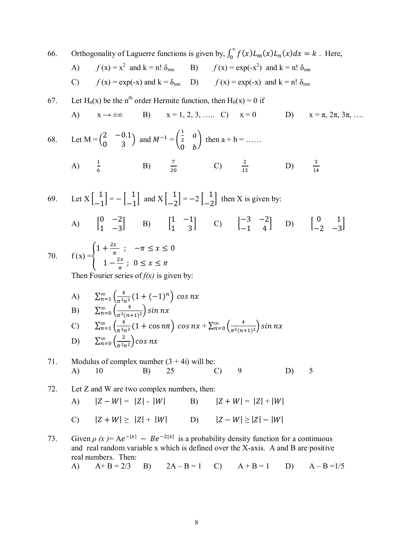66. Orthogonality of Laguerre functions is given by, 
$$
\int_{0}^{\infty} f(x)L_{m}(x)L_{n}(x)dx = k
$$
. Here,  
\nA)  $f(x) = x^{2}$  and  $k = n! \delta_{mn}$  B)  $f(x) = \exp(-x^{2})$  and  $k = n! \delta_{mn}$   
\nC)  $f(x) = \exp(-x)$  and  $k = \delta_{mn}$  D)  $f(x) = \exp(-x)$  and  $k = n! \delta_{mn}$   
\n67. Let  $H_{n}(x)$  be the n<sup>th</sup> order Hermite function, then  $H_{0}(x) = 0$  if  
\nA)  $x \rightarrow \pm \infty$  B)  $x = 1, 2, 3, \dots$  C)  $x = 0$  D)  $x = \pi, 2\pi, 3\pi, \dots$   
\n68. Let  $M = \begin{pmatrix} 2 & -0.1 \\ 0 & 3 \end{pmatrix}$  and  $M^{-1} = \begin{pmatrix} \frac{1}{2} & a \\ 0 & b \end{pmatrix}$  then  $a + b = \dots$   
\nA)  $\frac{1}{6}$  B)  $\frac{7}{20}$  C)  $\frac{2}{13}$  D)  $\frac{3}{14}$   
\n69. Let  $X \begin{bmatrix} 1 \\ -1 \end{bmatrix} = -\begin{bmatrix} 1 \\ -1 \end{bmatrix}$  and  $X \begin{bmatrix} 1 \\ -2 \end{bmatrix} = -2 \begin{bmatrix} 1 \\ -2 \end{bmatrix}$  then X is given by:  
\nA)  $\begin{bmatrix} 0 & -2 \\ 1 & -3 \end{bmatrix}$  B)  $\begin{bmatrix} 1 & -1 \\ 1 & 3 \end{bmatrix}$  C)  $\begin{bmatrix} -3 & -2 \\ -1 & 4 \end{bmatrix}$  D)  $\begin{bmatrix} 0 & 1 \\ -2 & -3 \end{bmatrix}$   
\n70.  $f(x) = \begin{cases} 1 + \frac{2x}{\pi}; \quad -\pi \le x \le 0 \\ 1 - \frac{2x}{\pi}; \quad 0 \le x \le \pi$   
\nThen Fourier series of  $f(x)$  is given by:  
\nA)  $\sum_{n=1}^{\infty} \left( \frac{4}{$ 

71. Modulus of complex number 
$$
(3 + 4i)
$$
 will be:  
A) 10 B) 25 C) 9 D) 5

D)  $\sum_{n=0}^{\infty} \left( \frac{2}{n^2} \right)$ 

 $\sum_{n=0}^{\infty} \left( \frac{2}{\pi^2 n^2} \right) \cos nx$ 

72. Let Z and W are two complex numbers, then:  
\nA) 
$$
|Z - W| = |Z| - |W|
$$
  
\nB)  $|Z + W| = |Z| + |W|$   
\nC)  $|Z + W| \ge |Z| + |W|$   
\nD)  $|Z - W| \ge |Z| - |W|$ 

73. Given  $\rho(x) = Ae^{-|x|} - Be^{-2|x|}$  is a probability density function for a continuous and real random variable x which is defined over the X-axis. A and B are positive real numbers. Then:

A) 
$$
A+B=2/3
$$
 B)  $2A-B=1$  C)  $A+B=1$  D)  $A-B=1/5$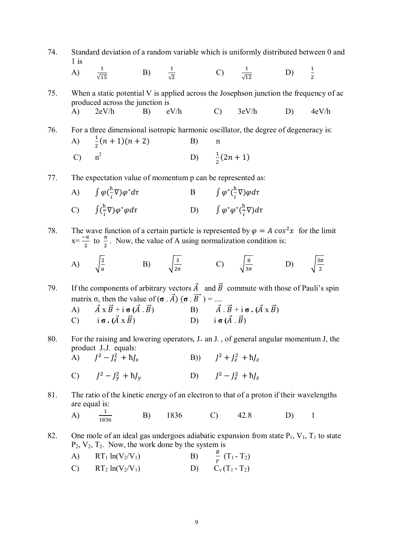74. Standard deviation of a random variable which is uniformly distributed between 0 and 1 is

A) 
$$
\frac{1}{\sqrt{15}}
$$
 B)  $\frac{1}{\sqrt{2}}$  C)  $\frac{1}{\sqrt{12}}$  D)  $\frac{1}{2}$ 

75. When a static potential V is applied across the Josephson junction the frequency of ac produced across the junction is A) 2eV/h B) eV/h C) 3eV/h D) 4eV/h

76. For a three dimensional isotropic harmonic oscillator, the degree of degeneracy is:  $\bf{A}$  $\frac{1}{2}(n+1)(n+2)$  B) n  $\overline{C}$  $n^2$ D)  $\frac{1}{2}(2n+1)$ 

77. The expectation value of momentum p can be represented as:

A) 
$$
\int \varphi(\frac{\hbar}{i}\nabla)\varphi^* d\tau
$$
 B  $\int \varphi^*(\frac{\hbar}{i}\nabla)\varphi d\tau$   
\nC)  $\int (\frac{\hbar}{i}\nabla)\varphi^* \varphi d\tau$  D)  $\int \varphi^* \varphi^*(\frac{\hbar}{i}\nabla) d\tau$ 

78. The wave function of a certain particle is represented by  $\varphi = A \cos^2 x$  for the limit  $X = \frac{-\pi}{2}$  $\frac{\pi}{2}$  to  $\frac{\pi}{2}$ . Now, the value of A using normalization condition is:

A) 
$$
\sqrt{\frac{2}{a}}
$$
 \tB)  $\sqrt{\frac{3}{2\pi}}$  \tC)  $\sqrt{\frac{8}{3\pi}}$  \tD)  $\sqrt{\frac{3\pi}{2}}$ 

79. If the components of arbitrary vectors  $\vec{A}$  and  $\vec{B}$  commute with those of Pauli's spin matrix  $\sigma$ , then the value of  $(\sigma \cdot \vec{A}) (\sigma \cdot \vec{B}) =$ ....

A) 
$$
\vec{A} \times \vec{B} + i \sigma (\vec{A} \cdot \vec{B})
$$
  
\nB)  $\vec{A} \cdot \vec{B} + i \sigma \cdot (\vec{A} \times \vec{B})$   
\nC)  $i \sigma \cdot (\vec{A} \times \vec{B})$   
\nD)  $i \sigma (\vec{A} \cdot \vec{B})$ 

80. For the raising and lowering operators,  $J_+$  an J., of general angular momentum J, the product J+J- equals: A)  $J^2 - J_x^2$  $J^2 + J_z^2 + hJ_x$  (B))  $J^2 + J_z^2 + hJ_z$ 

C) 
$$
J^2 - J_y^2 + \hbar J_y
$$
 D)  $J^2 - J_z^2 + \hbar J_z$ 

81. The ratio of the kinetic energy of an electron to that of a proton if their wavelengths are equal is:

A) 
$$
\frac{1}{1836}
$$
 B) 1836 C) 42.8 D) 1

82. One mole of an ideal gas undergoes adiabatic expansion from state  $P_1$ ,  $V_1$ ,  $T_1$  to state  $P_2$ ,  $V_2$ ,  $T_2$ . Now, the work done by the system is

A) 
$$
RT_1 \ln(V_2/V_1)
$$
 B)  $\frac{R}{\gamma} (T_1 - T_2)$ 

$$
C) \qquad RT_2 \ln(V_2/V_1) \qquad \qquad D) \qquad C_v(T_1 - T_2)
$$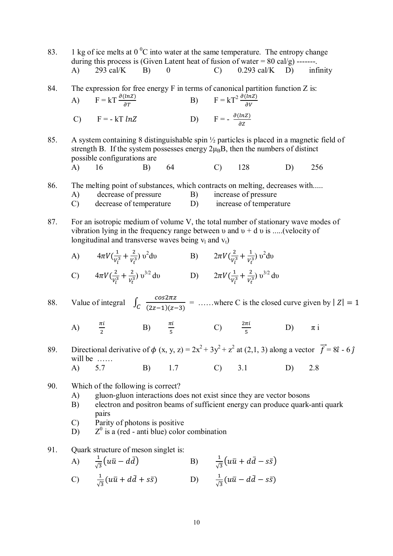- 83. 1 kg of ice melts at  $0<sup>0</sup>C$  into water at the same temperature. The entropy change during this process is (Given Latent heat of fusion of water  $= 80 \text{ cal/g}$ ) -------. A) 293 cal/K B) 0 C) 0.293 cal/K D) infinity
- 84. The expression for free energy F in terms of canonical partition function Z is: A)  $F = kT \frac{\partial (lnZ)}{\partial T}$  $\frac{\partial (ln Z)}{\partial T}$  B)  $F = kT^2 \frac{\partial (ln Z)}{\partial V}$ C)  $F = -kT lnZ$  D)  $F = -\frac{\partial(lnz)}{\partial z}$  $\partial Z$
- 85. A system containing 8 distinguishable spin ½ particles is placed in a magnetic field of strength B. If the system possesses energy  $2\mu_B B$ , then the numbers of distinct possible configurations are A) 16 B) 64 C) 128 D) 256
- 86. The melting point of substances, which contracts on melting, decreases with.....
	- A) decrease of pressure B) increase of pressure
	- C) decrease of temperature D) increase of temperature
- 87. For an isotropic medium of volume V, the total number of stationary wave modes of vibration lying in the frequency range between  $\nu$  and  $\nu + d \nu$  is .....(velocity of longitudinal and transverse waves being  $v_1$  and  $v_1$ )
	- A)  $4\pi V(\frac{1}{\nu})$  $rac{1}{v_l^3} + \frac{2}{v_t^3}$  $\frac{2}{V_t^3}$ )  $v^2$ dv B)  $2\pi V(\frac{2}{v^3})$  $rac{2}{v_i^3} + \frac{1}{v_i^3}$  $\frac{1}{V_t^3}$ )  $v^2 dv$

C) 
$$
4\pi V \left(\frac{2}{V_l^3} + \frac{2}{V_t^3}\right) v^{3/2} dv
$$
 D)  $2\pi V \left(\frac{1}{V_l^3} + \frac{2}{V_t^3}\right) v^{3/2} dv$ 

88. Value of integral  $\int_C \frac{\cos 2\pi z}{(2\pi - 1)(\pi - 1)}$  $\frac{3}{(2z-1)(z-3)}$  = .....where C is the closed curve given by  $|Z|=1$ 

- A)  $\pi$ i  $\frac{\pi i}{2}$  B)  $\frac{\pi i}{5}$  C)  $\frac{2\pi i}{5}$ ହ D)  $\pi i$
- 89. Directional derivative of  $\phi$  (x, y, z) =  $2x^2 + 3y^2 + z^2$  at (2,1, 3) along a vector  $\vec{f} = 8\hat{i} 6\hat{j}$ will be …… A) 5.7 B) 1.7 C) 3.1 D) 2.8
- 90. Which of the following is correct?
	- A) gluon-gluon interactions does not exist since they are vector bosons
	- B) electron and positron beams of sufficient energy can produce quark-anti quark pairs
	- C) Parity of photons is positive
	- $D$  $<sup>0</sup>$  is a (red - anti blue) color combination</sup>
- 91. Quark structure of meson singlet is:

A) 
$$
\frac{1}{\sqrt{3}}(u\bar{u} - d\bar{d})
$$
 B)  $\frac{1}{\sqrt{3}}(u\bar{u} + d\bar{d} - s\bar{s})$ 

$$
\text{C)} \qquad \frac{1}{\sqrt{3}}(u\bar{u} + d\bar{d} + s\bar{s}) \qquad \qquad \text{D)} \qquad \frac{1}{\sqrt{3}}(u\bar{u} - d\bar{d} - s\bar{s})
$$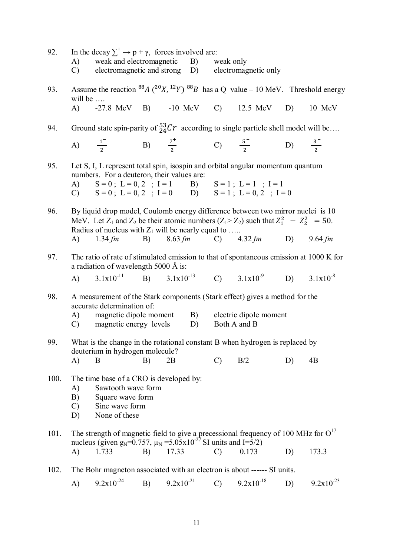| 92.  | In the decay $\sum^+ \rightarrow p + \gamma$ , forces involved are:<br>A) weak and electromagnetic B) weak only<br>C) electromagnetic and strong D) electromagnetic only                                                                   |                                                                                                                                                                          |    |                |  |               |                |    |                |
|------|--------------------------------------------------------------------------------------------------------------------------------------------------------------------------------------------------------------------------------------------|--------------------------------------------------------------------------------------------------------------------------------------------------------------------------|----|----------------|--|---------------|----------------|----|----------------|
| 93.  | will be $\dots$                                                                                                                                                                                                                            | Assume the reaction <sup>88</sup> A ( <sup>20</sup> X, <sup>12</sup> Y) <sup>88</sup> B has a Q value – 10 MeV. Threshold energy                                         |    |                |  |               |                |    |                |
|      |                                                                                                                                                                                                                                            | A) -27.8 MeV B) -10 MeV C) 12.5 MeV D) 10 MeV                                                                                                                            |    |                |  |               |                |    |                |
| 94.  | Ground state spin-parity of ${}^{53}_{24}Cr$ according to single particle shell model will be                                                                                                                                              |                                                                                                                                                                          |    |                |  |               |                |    |                |
|      |                                                                                                                                                                                                                                            | A) $\frac{1}{2}$ B) $\frac{7}{2}$ C) $\frac{5}{2}$ D) $\frac{3}{2}$                                                                                                      |    |                |  |               |                |    |                |
| 95.  | Let S, I, L represent total spin, isospin and orbital angular momentum quantum<br>numbers. For a deuteron, their values are:<br>A) $S = 0$ ; $L = 0, 2$ ; $I = 1$ B) $S = 1$ ; $L = 1$ ; $I = 1$                                           |                                                                                                                                                                          |    |                |  |               |                |    |                |
|      |                                                                                                                                                                                                                                            | C) $S = 0$ ; $L = 0$ , $2$ ; $I = 0$ $D$ $S = 1$ ; $L = 0$ , $2$ ; $I = 0$                                                                                               |    |                |  |               |                |    |                |
| 96.  | By liquid drop model, Coulomb energy difference between two mirror nuclei is 10<br>MeV. Let $Z_1$ and $Z_2$ be their atomic numbers $(Z_1 > Z_2)$ such that $Z_1^2 - Z_2^2 = 50$ .<br>Radius of nucleus with $Z_1$ will be nearly equal to |                                                                                                                                                                          |    |                |  |               |                |    |                |
|      |                                                                                                                                                                                                                                            | A) 1.34 fm B) 8.63 fm C) 4.32 fm D) 9.64 fm                                                                                                                              |    |                |  |               |                |    |                |
| 97.  |                                                                                                                                                                                                                                            | The ratio of rate of stimulated emission to that of spontaneous emission at 1000 K for<br>a radiation of wavelength 5000 Å is:                                           |    |                |  |               |                |    |                |
|      |                                                                                                                                                                                                                                            | A) $3.1x10^{-11}$ B) $3.1x10^{-13}$ C) $3.1x10^{-9}$ D) $3.1x10^{-8}$                                                                                                    |    |                |  |               |                |    |                |
| 98.  |                                                                                                                                                                                                                                            | A measurement of the Stark components (Stark effect) gives a method for the<br>accurate determination of:                                                                |    |                |  |               |                |    |                |
|      | (A)                                                                                                                                                                                                                                        | magnetic dipole moment B) electric dipole moment<br>C) magnetic energy levels D) Both A and B                                                                            |    |                |  |               |                |    |                |
| 99.  |                                                                                                                                                                                                                                            | What is the change in the rotational constant B when hydrogen is replaced by<br>deuterium in hydrogen molecule?                                                          |    |                |  |               |                |    |                |
|      | A)                                                                                                                                                                                                                                         | B                                                                                                                                                                        | B) | 2B             |  | $\mathcal{C}$ | B/2            | D) | 4B             |
| 100. | The time base of a CRO is developed by:<br>Sawtooth wave form<br>A)<br>B)<br>Square wave form<br>Sine wave form<br>$\mathcal{C}$<br>None of these<br>D)                                                                                    |                                                                                                                                                                          |    |                |  |               |                |    |                |
| 101. |                                                                                                                                                                                                                                            | The strength of magnetic field to give a precessional frequency of 100 MHz for $O17$<br>nucleus (given $g_N$ =0.757, $\mu_N$ =5.05x10 <sup>-27</sup> SI units and I=5/2) |    |                |  |               |                |    |                |
|      | A)                                                                                                                                                                                                                                         | 1.733                                                                                                                                                                    | B) | 17.33          |  | $\mathcal{C}$ | 0.173          | D) | 173.3          |
| 102. |                                                                                                                                                                                                                                            | The Bohr magneton associated with an electron is about ------ SI units.                                                                                                  |    |                |  |               |                |    |                |
|      | A)                                                                                                                                                                                                                                         | $9.2x10^{-24}$                                                                                                                                                           | B) | $9.2x10^{-21}$ |  | $\mathcal{C}$ | $9.2x10^{-18}$ | D) | $9.2x10^{-23}$ |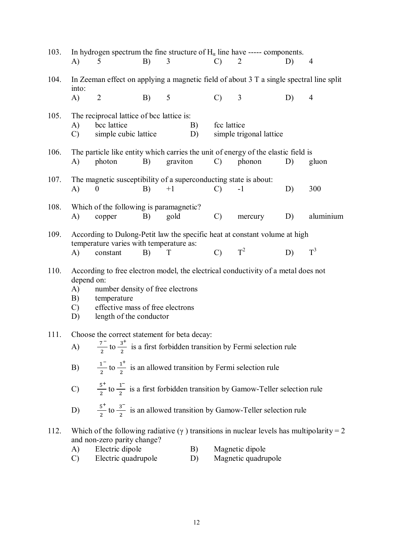| 103. | A)                                                                                                                                                                                                                                                   | In hydrogen spectrum the fine structure of $H_{\alpha}$ line have ----- components.<br>5                                                          | B) | 3        |          | $\mathcal{C}$ | 2                                                                                      | D) | $\overline{4}$ |
|------|------------------------------------------------------------------------------------------------------------------------------------------------------------------------------------------------------------------------------------------------------|---------------------------------------------------------------------------------------------------------------------------------------------------|----|----------|----------|---------------|----------------------------------------------------------------------------------------|----|----------------|
| 104. | In Zeeman effect on applying a magnetic field of about 3 T a single spectral line split                                                                                                                                                              |                                                                                                                                                   |    |          |          |               |                                                                                        |    |                |
|      | into:<br>$\mathbf{A}$                                                                                                                                                                                                                                | $\overline{2}$                                                                                                                                    | B) | 5        |          | $\mathcal{C}$ | 3                                                                                      | D) | $\overline{4}$ |
| 105. | A)<br>$\mathcal{C}$                                                                                                                                                                                                                                  | The reciprocal lattice of bcc lattice is:<br>bcc lattice<br>simple cubic lattice                                                                  |    |          | B)<br>D) | fcc lattice   | simple trigonal lattice                                                                |    |                |
| 106. | A)                                                                                                                                                                                                                                                   | The particle like entity which carries the unit of energy of the elastic field is<br>photon                                                       | B) | graviton |          | $\mathcal{C}$ | phonon                                                                                 | D) | gluon          |
| 107. | A)                                                                                                                                                                                                                                                   | The magnetic susceptibility of a superconducting state is about:<br>$\theta$                                                                      | B) | $+1$     |          | $\mathcal{C}$ | $-1$                                                                                   | D) | 300            |
| 108. | A)                                                                                                                                                                                                                                                   | Which of the following is paramagnetic?<br>copper                                                                                                 | B) | gold     |          | $\mathcal{C}$ | mercury                                                                                | D) | aluminium      |
| 109. | According to Dulong-Petit law the specific heat at constant volume at high<br>temperature varies with temperature as:<br>$T^2$<br>$T^3$<br>$\mathcal{C}$<br>D)<br>A)<br>T<br>constant<br>B)                                                          |                                                                                                                                                   |    |          |          |               |                                                                                        |    |                |
| 110. | According to free electron model, the electrical conductivity of a metal does not<br>depend on:<br>A)<br>number density of free electrons<br>B)<br>temperature<br>effective mass of free electrons<br>$\mathcal{C}$<br>length of the conductor<br>D) |                                                                                                                                                   |    |          |          |               |                                                                                        |    |                |
| 111. | Choose the correct statement for beta decay:<br>$\frac{7}{2}$ to $\frac{3^+}{2}$ is a first forbidden transition by Fermi selection rule<br>A)                                                                                                       |                                                                                                                                                   |    |          |          |               |                                                                                        |    |                |
|      | B)                                                                                                                                                                                                                                                   |                                                                                                                                                   |    |          |          |               | $\frac{1}{2}$ to $\frac{1}{2}$ is an allowed transition by Fermi selection rule        |    |                |
|      |                                                                                                                                                                                                                                                      | C) $\frac{5^+}{2}$ to $\frac{1^-}{2}$ is a first forbidden transition by Gamow-Teller selection rule                                              |    |          |          |               |                                                                                        |    |                |
|      | D)                                                                                                                                                                                                                                                   |                                                                                                                                                   |    |          |          |               | $\frac{5}{2}$ to $\frac{3}{2}$ is an allowed transition by Gamow-Teller selection rule |    |                |
| 112. | A)                                                                                                                                                                                                                                                   | Which of the following radiative $(\gamma)$ transitions in nuclear levels has multipolarity = 2<br>and non-zero parity change?<br>Electric dipole |    |          | B)       |               | Magnetic dipole                                                                        |    |                |
|      | $\mathcal{C}$                                                                                                                                                                                                                                        | Electric quadrupole                                                                                                                               |    |          | D)       |               | Magnetic quadrupole                                                                    |    |                |